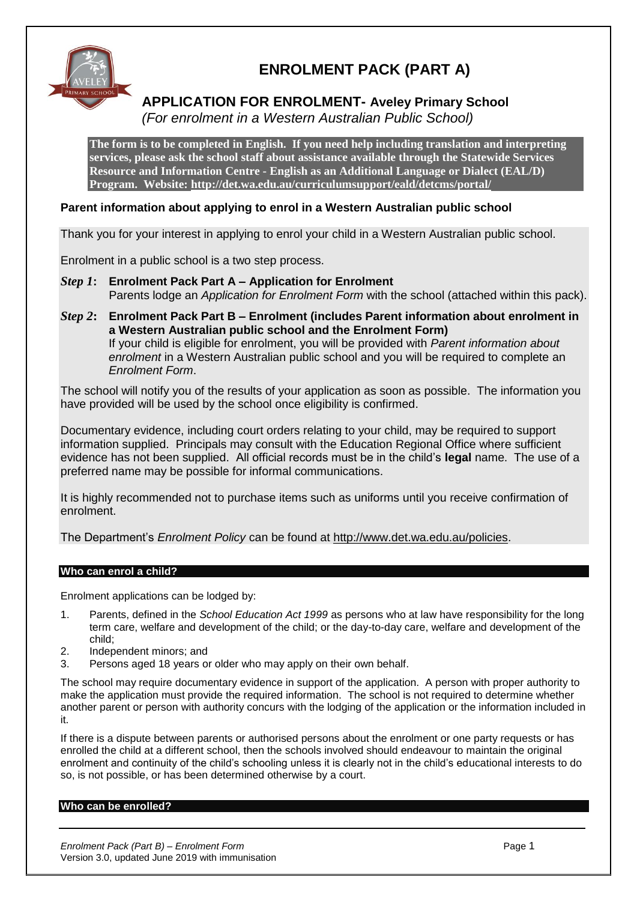

### **ENROLMENT PACK (PART A)**

# **APPLICATION FOR ENROLMENT- Aveley Primary School**

*(For enrolment in a Western Australian Public School)*

**The form is to be completed in English. If you need help including translation and interpreting services, please ask the school staff about assistance available through the Statewide Services Resource and Information Centre - English as an Additional Language or Dialect (EAL/D) Program. Website:<http://det.wa.edu.au/curriculumsupport/eald/detcms/portal/>**

### **Parent information about applying to enrol in a Western Australian public school**

Thank you for your interest in applying to enrol your child in a Western Australian public school.

Enrolment in a public school is a two step process.

*Step 1***: Enrolment Pack Part A – Application for Enrolment** Parents lodge an *Application for Enrolment Form* with the school (attached within this pack).

*Step 2***: Enrolment Pack Part B – Enrolment (includes Parent information about enrolment in a Western Australian public school and the Enrolment Form)** If your child is eligible for enrolment, you will be provided with *Parent information about enrolment* in a Western Australian public school and you will be required to complete an *Enrolment Form*.

The school will notify you of the results of your application as soon as possible. The information you have provided will be used by the school once eligibility is confirmed.

Documentary evidence, including court orders relating to your child, may be required to support information supplied. Principals may consult with the Education Regional Office where sufficient evidence has not been supplied. All official records must be in the child's **legal** name. The use of a preferred name may be possible for informal communications.

It is highly recommended not to purchase items such as uniforms until you receive confirmation of enrolment.

The Department's *Enrolment Policy* can be found at [http://www.det.wa.edu.au/policies.](http://www.det.wa.edu.au/policies)

#### **Who can enrol a child?**

Enrolment applications can be lodged by:

- 1. Parents, defined in the *School Education Act 1999* as persons who at law have responsibility for the long term care, welfare and development of the child; or the day-to-day care, welfare and development of the child;
- 2. Independent minors; and
- 3. Persons aged 18 years or older who may apply on their own behalf.

The school may require documentary evidence in support of the application. A person with proper authority to make the application must provide the required information. The school is not required to determine whether another parent or person with authority concurs with the lodging of the application or the information included in it.

If there is a dispute between parents or authorised persons about the enrolment or one party requests or has enrolled the child at a different school, then the schools involved should endeavour to maintain the original enrolment and continuity of the child's schooling unless it is clearly not in the child's educational interests to do so, is not possible, or has been determined otherwise by a court.

#### **Who can be enrolled?**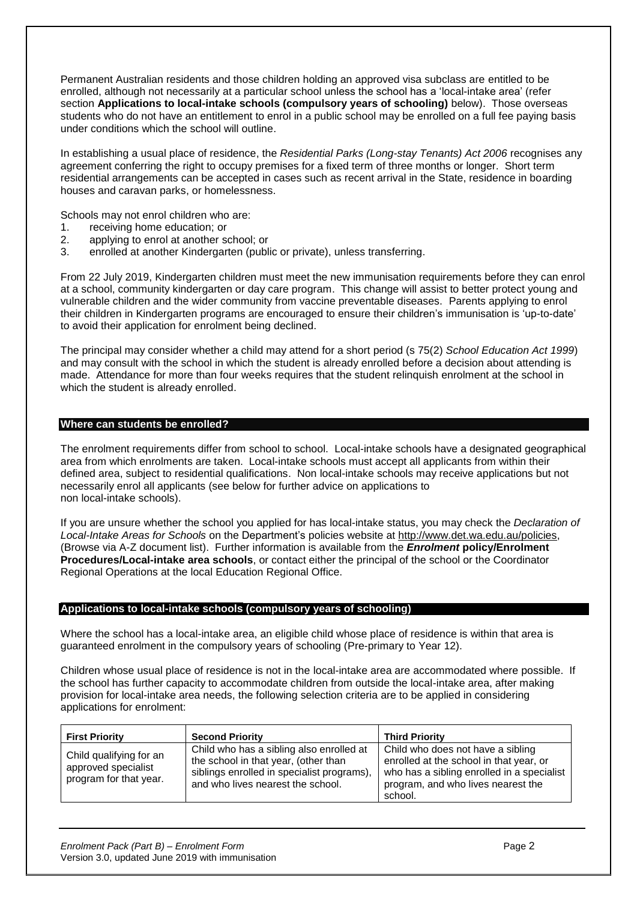Permanent Australian residents and those children holding an approved visa subclass are entitled to be enrolled, although not necessarily at a particular school unless the school has a 'local-intake area' (refer section **Applications to local-intake schools (compulsory years of schooling)** below). Those overseas students who do not have an entitlement to enrol in a public school may be enrolled on a full fee paying basis under conditions which the school will outline.

In establishing a usual place of residence, the *Residential Parks (Long-stay Tenants) Act 2006* recognises any agreement conferring the right to occupy premises for a fixed term of three months or longer. Short term residential arrangements can be accepted in cases such as recent arrival in the State, residence in boarding houses and caravan parks, or homelessness.

Schools may not enrol children who are:

- 1. receiving home education; or
- 2. applying to enrol at another school; or
- 3. enrolled at another Kindergarten (public or private), unless transferring.

From 22 July 2019, Kindergarten children must meet the new immunisation requirements before they can enrol at a school, community kindergarten or day care program. This change will assist to better protect young and vulnerable children and the wider community from vaccine preventable diseases. Parents applying to enrol their children in Kindergarten programs are encouraged to ensure their children's immunisation is 'up-to-date' to avoid their application for enrolment being declined.

The principal may consider whether a child may attend for a short period (s 75(2) *School Education Act 1999*) and may consult with the school in which the student is already enrolled before a decision about attending is made. Attendance for more than four weeks requires that the student relinquish enrolment at the school in which the student is already enrolled.

#### **Where can students be enrolled?**

The enrolment requirements differ from school to school. Local-intake schools have a designated geographical area from which enrolments are taken. Local-intake schools must accept all applicants from within their defined area, subject to residential qualifications. Non local-intake schools may receive applications but not necessarily enrol all applicants (see below for further advice on applications to non local-intake schools).

If you are unsure whether the school you applied for has local-intake status, you may check the *Declaration of Local-Intake Areas for Schools* on the Department's policies website at [http://www.det.wa.edu.au/policies,](http://www.det.wa.edu.au/policies) (Browse via A-Z document list). Further information is available from the *Enrolment* **policy/Enrolment Procedures/Local-intake area schools**, or contact either the principal of the school or the Coordinator Regional Operations at the local Education Regional Office.

#### **Applications to local-intake schools (compulsory years of schooling)**

Where the school has a local-intake area, an eligible child whose place of residence is within that area is guaranteed enrolment in the compulsory years of schooling (Pre-primary to Year 12).

Children whose usual place of residence is not in the local-intake area are accommodated where possible. If the school has further capacity to accommodate children from outside the local-intake area, after making provision for local-intake area needs, the following selection criteria are to be applied in considering applications for enrolment:

| <b>First Priority</b>                                                    | <b>Second Priority</b>                                                                                                                                              | <b>Third Priority</b>                                                                                                                                                       |
|--------------------------------------------------------------------------|---------------------------------------------------------------------------------------------------------------------------------------------------------------------|-----------------------------------------------------------------------------------------------------------------------------------------------------------------------------|
| Child qualifying for an<br>approved specialist<br>program for that year. | Child who has a sibling also enrolled at<br>the school in that year, (other than<br>siblings enrolled in specialist programs),<br>and who lives nearest the school. | Child who does not have a sibling<br>enrolled at the school in that year, or<br>who has a sibling enrolled in a specialist<br>program, and who lives nearest the<br>school. |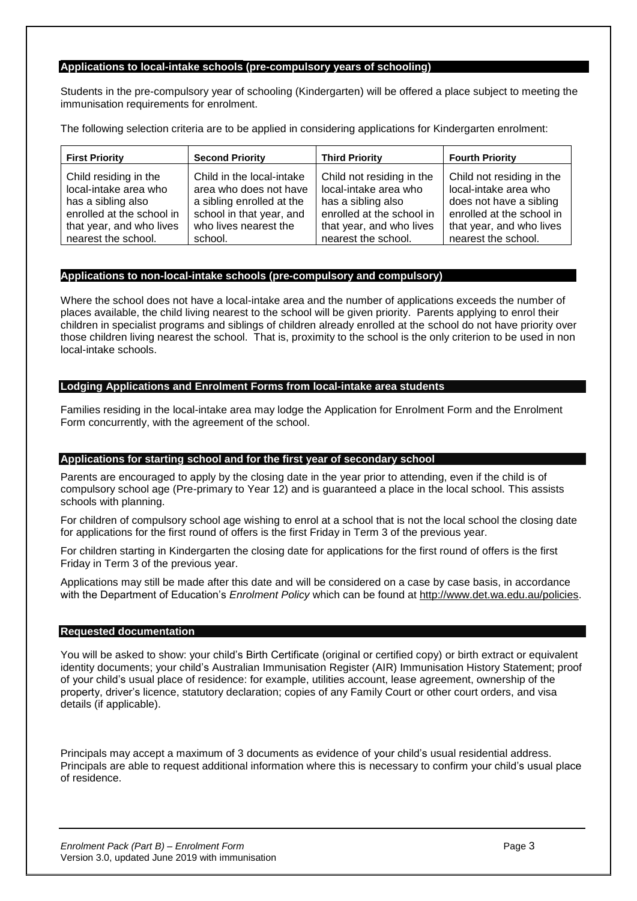#### **Applications to local-intake schools (pre-compulsory years of schooling)**

Students in the pre-compulsory year of schooling (Kindergarten) will be offered a place subject to meeting the immunisation requirements for enrolment.

The following selection criteria are to be applied in considering applications for Kindergarten enrolment:

| <b>First Priority</b>     | <b>Second Priority</b>    | <b>Third Priority</b>     | <b>Fourth Priority</b>    |
|---------------------------|---------------------------|---------------------------|---------------------------|
| Child residing in the     | Child in the local-intake | Child not residing in the | Child not residing in the |
| local-intake area who     | area who does not have    | local-intake area who     | local-intake area who     |
| has a sibling also        | a sibling enrolled at the | has a sibling also        | does not have a sibling   |
| enrolled at the school in | school in that year, and  | enrolled at the school in | enrolled at the school in |
| that year, and who lives  | who lives nearest the     | that year, and who lives  | that year, and who lives  |
| nearest the school.       | school.                   | nearest the school.       | nearest the school.       |

#### **Applications to non-local-intake schools (pre-compulsory and compulsory)**

Where the school does not have a local-intake area and the number of applications exceeds the number of places available, the child living nearest to the school will be given priority. Parents applying to enrol their children in specialist programs and siblings of children already enrolled at the school do not have priority over those children living nearest the school. That is, proximity to the school is the only criterion to be used in non local-intake schools.

#### **Lodging Applications and Enrolment Forms from local-intake area students**

Families residing in the local-intake area may lodge the Application for Enrolment Form and the Enrolment Form concurrently, with the agreement of the school.

#### **Applications for starting school and for the first year of secondary school**

Parents are encouraged to apply by the closing date in the year prior to attending, even if the child is of compulsory school age (Pre-primary to Year 12) and is guaranteed a place in the local school. This assists schools with planning.

For children of compulsory school age wishing to enrol at a school that is not the local school the closing date for applications for the first round of offers is the first Friday in Term 3 of the previous year.

For children starting in Kindergarten the closing date for applications for the first round of offers is the first Friday in Term 3 of the previous year.

Applications may still be made after this date and will be considered on a case by case basis, in accordance with the Department of Education's *Enrolment Policy* which can be found at [http://www.det.wa.edu.au/policies.](http://www.det.wa.edu.au/policies)

#### **Requested documentation**

You will be asked to show: your child's Birth Certificate (original or certified copy) or birth extract or equivalent identity documents; your child's Australian Immunisation Register (AIR) Immunisation History Statement; proof of your child's usual place of residence: for example, utilities account, lease agreement, ownership of the property, driver's licence, statutory declaration; copies of any Family Court or other court orders, and visa details (if applicable).

Principals may accept a maximum of 3 documents as evidence of your child's usual residential address. Principals are able to request additional information where this is necessary to confirm your child's usual place of residence.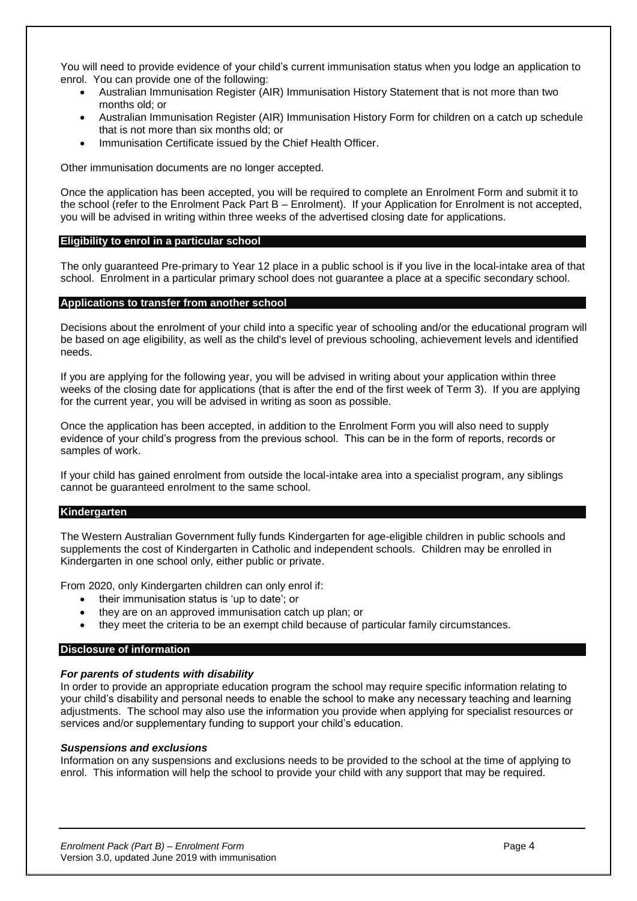You will need to provide evidence of your child's current immunisation status when you lodge an application to enrol. You can provide one of the following:

- Australian Immunisation Register (AIR) Immunisation History Statement that is not more than two months old; or
- Australian Immunisation Register (AIR) Immunisation History Form for children on a catch up schedule that is not more than six months old; or
- Immunisation Certificate issued by the Chief Health Officer.

Other immunisation documents are no longer accepted.

Once the application has been accepted, you will be required to complete an Enrolment Form and submit it to the school (refer to the Enrolment Pack Part B – Enrolment). If your Application for Enrolment is not accepted, you will be advised in writing within three weeks of the advertised closing date for applications.

#### **Eligibility to enrol in a particular school**

The only guaranteed Pre-primary to Year 12 place in a public school is if you live in the local-intake area of that school. Enrolment in a particular primary school does not guarantee a place at a specific secondary school.

#### **Applications to transfer from another school**

Decisions about the enrolment of your child into a specific year of schooling and/or the educational program will be based on age eligibility, as well as the child's level of previous schooling, achievement levels and identified needs.

If you are applying for the following year, you will be advised in writing about your application within three weeks of the closing date for applications (that is after the end of the first week of Term 3). If you are applying for the current year, you will be advised in writing as soon as possible.

Once the application has been accepted, in addition to the Enrolment Form you will also need to supply evidence of your child's progress from the previous school. This can be in the form of reports, records or samples of work.

If your child has gained enrolment from outside the local-intake area into a specialist program, any siblings cannot be guaranteed enrolment to the same school.

#### **Kindergarten**

The Western Australian Government fully funds Kindergarten for age-eligible children in public schools and supplements the cost of Kindergarten in Catholic and independent schools. Children may be enrolled in Kindergarten in one school only, either public or private.

From 2020, only Kindergarten children can only enrol if:

- their immunisation status is 'up to date'; or
- they are on an approved immunisation catch up plan; or
- they meet the criteria to be an exempt child because of particular family circumstances.

#### **Disclosure of information**

#### *For parents of students with disability*

In order to provide an appropriate education program the school may require specific information relating to your child's disability and personal needs to enable the school to make any necessary teaching and learning adjustments. The school may also use the information you provide when applying for specialist resources or services and/or supplementary funding to support your child's education.

#### *Suspensions and exclusions*

Information on any suspensions and exclusions needs to be provided to the school at the time of applying to enrol. This information will help the school to provide your child with any support that may be required.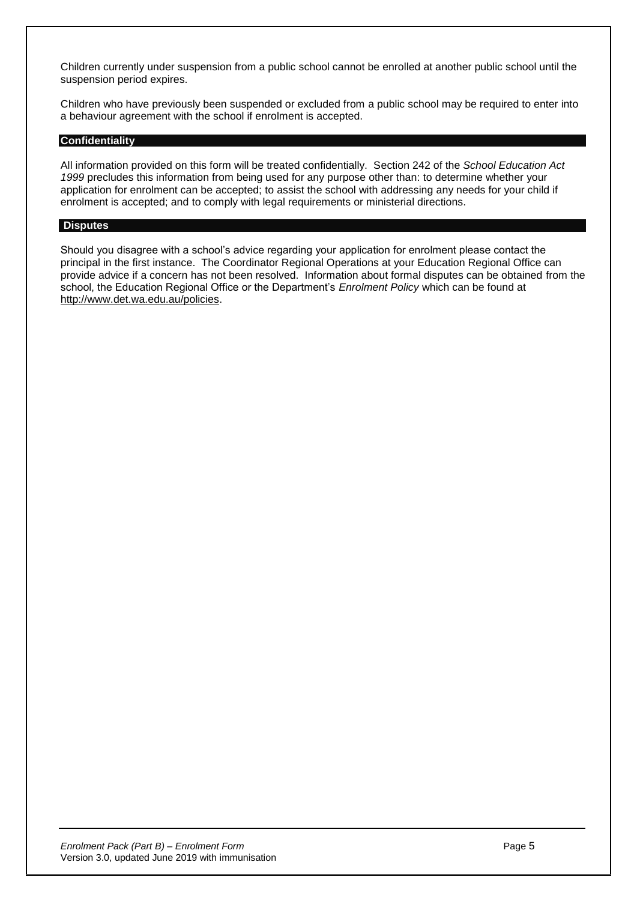Children currently under suspension from a public school cannot be enrolled at another public school until the suspension period expires.

Children who have previously been suspended or excluded from a public school may be required to enter into a behaviour agreement with the school if enrolment is accepted.

#### **Confidentiality**

All information provided on this form will be treated confidentially. Section 242 of the *School Education Act 1999* precludes this information from being used for any purpose other than: to determine whether your application for enrolment can be accepted; to assist the school with addressing any needs for your child if enrolment is accepted; and to comply with legal requirements or ministerial directions.

#### **Disputes**

Should you disagree with a school's advice regarding your application for enrolment please contact the principal in the first instance. The Coordinator Regional Operations at your Education Regional Office can provide advice if a concern has not been resolved. Information about formal disputes can be obtained from the school, the Education Regional Office or the Department's *Enrolment Policy* which can be found at [http://www.det.wa.edu.au/policies.](http://www.det.wa.edu.au/policies)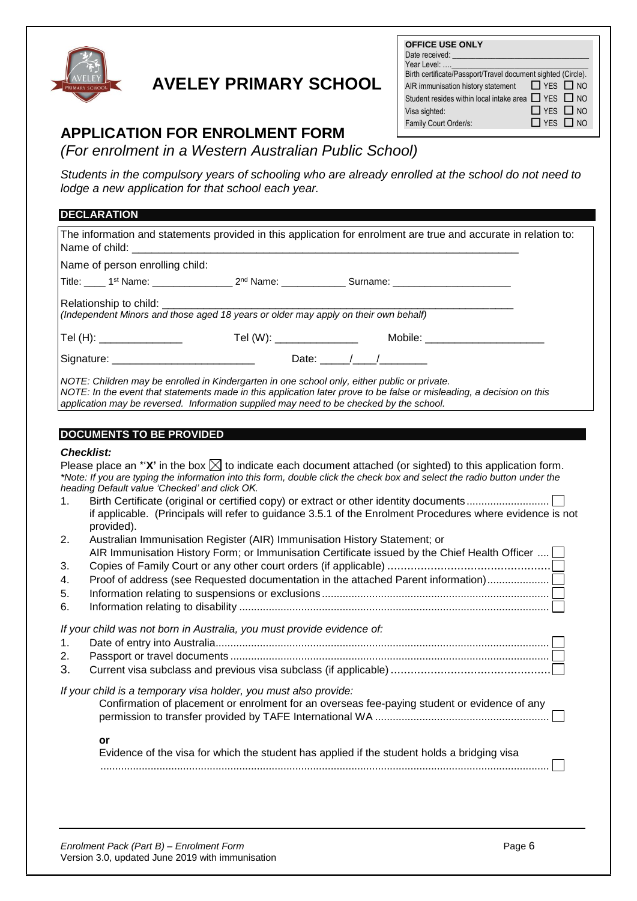

## **AVELEY PRIMARY SCHOOL**

| <b>OFFICE USE ONLY</b><br>Date received: __________<br>Year Level:<br>Birth certificate/Passport/Travel document sighted (Circle).<br>AIR immunisation history statement $\Box$ YES $\Box$ NO<br>Student resides within local intake area $\Box$ YES $\Box$ NO<br>Visa sighted: | $\Box$ YFS $\Box$ NO |
|---------------------------------------------------------------------------------------------------------------------------------------------------------------------------------------------------------------------------------------------------------------------------------|----------------------|
|                                                                                                                                                                                                                                                                                 |                      |
| Family Court Order/s:                                                                                                                                                                                                                                                           | $\Box$ YES $\Box$ NO |

### **APPLICATION FOR ENROLMENT FORM**

*(For enrolment in a Western Australian Public School)*

*Students in the compulsory years of schooling who are already enrolled at the school do not need to lodge a new application for that school each year.* 1 **APPLICATION:**  - school do not need to

| <b>DECLARATION</b>                                                                                                                                                                                                                                                                                                                                                                                                                                                                                                                                                                                                                                                                                                                                            |
|---------------------------------------------------------------------------------------------------------------------------------------------------------------------------------------------------------------------------------------------------------------------------------------------------------------------------------------------------------------------------------------------------------------------------------------------------------------------------------------------------------------------------------------------------------------------------------------------------------------------------------------------------------------------------------------------------------------------------------------------------------------|
| The information and statements provided in this application for enrolment are true and accurate in relation to:                                                                                                                                                                                                                                                                                                                                                                                                                                                                                                                                                                                                                                               |
| Name of person enrolling child:                                                                                                                                                                                                                                                                                                                                                                                                                                                                                                                                                                                                                                                                                                                               |
|                                                                                                                                                                                                                                                                                                                                                                                                                                                                                                                                                                                                                                                                                                                                                               |
| Relationship to child: _________<br>(Independent Minors and those aged 18 years or older may apply on their own behalf)                                                                                                                                                                                                                                                                                                                                                                                                                                                                                                                                                                                                                                       |
| Tel (H): __________________     Tel (W): _______________   Mobile: ______________                                                                                                                                                                                                                                                                                                                                                                                                                                                                                                                                                                                                                                                                             |
|                                                                                                                                                                                                                                                                                                                                                                                                                                                                                                                                                                                                                                                                                                                                                               |
| NOTE: Children may be enrolled in Kindergarten in one school only, either public or private.<br>NOTE: In the event that statements made in this application later prove to be false or misleading, a decision on this<br>application may be reversed. Information supplied may need to be checked by the school.                                                                                                                                                                                                                                                                                                                                                                                                                                              |
| <b>DOCUMENTS TO BE PROVIDED</b>                                                                                                                                                                                                                                                                                                                                                                                                                                                                                                                                                                                                                                                                                                                               |
| <b>Checklist:</b><br>Please place an *' $X'$ in the box $\boxtimes$ to indicate each document attached (or sighted) to this application form.<br>*Note: If you are typing the information into this form, double click the check box and select the radio button under the<br>heading Default value 'Checked' and click OK.<br>1.<br>if applicable. (Principals will refer to guidance 3.5.1 of the Enrolment Procedures where evidence is not<br>provided).<br>2.<br>Australian Immunisation Register (AIR) Immunisation History Statement; or<br>AIR Immunisation History Form; or Immunisation Certificate issued by the Chief Health Officer<br>3.<br>Proof of address (see Requested documentation in the attached Parent information)<br>4.<br>5.<br>6. |
| If your child was not born in Australia, you must provide evidence of:<br>1.<br>2.<br>3.                                                                                                                                                                                                                                                                                                                                                                                                                                                                                                                                                                                                                                                                      |
| If your child is a temporary visa holder, you must also provide:<br>Confirmation of placement or enrolment for an overseas fee-paying student or evidence of any                                                                                                                                                                                                                                                                                                                                                                                                                                                                                                                                                                                              |
| or<br>Evidence of the visa for which the student has applied if the student holds a bridging visa                                                                                                                                                                                                                                                                                                                                                                                                                                                                                                                                                                                                                                                             |